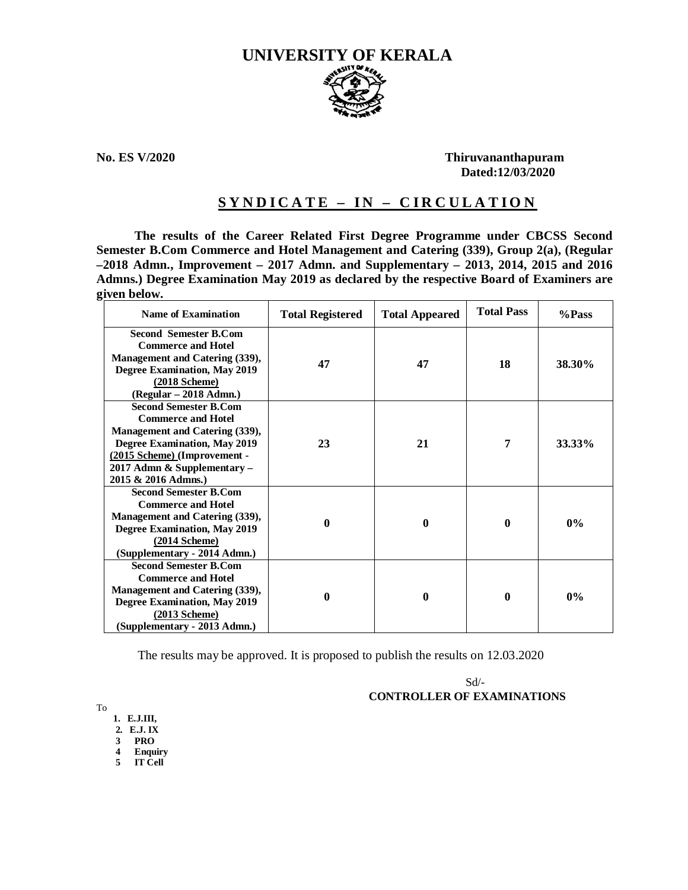

**No. ES V/2020 Thiruvananthapuram**  Dated:12/03/2020

## **S Y N D I C A T E – I N – C I R C U L A T I O N**

**The results of the Career Related First Degree Programme under CBCSS Second Semester B.Com Commerce and Hotel Management and Catering (339), Group 2(a), (Regular –2018 Admn., Improvement – 2017 Admn. and Supplementary – 2013, 2014, 2015 and 2016 Admns.) Degree Examination May 2019 as declared by the respective Board of Examiners are given below.**

| <b>Name of Examination</b>                                                                                                                                                                                               | <b>Total Registered</b> | <b>Total Appeared</b> | <b>Total Pass</b> | %Pass  |
|--------------------------------------------------------------------------------------------------------------------------------------------------------------------------------------------------------------------------|-------------------------|-----------------------|-------------------|--------|
| <b>Second Semester B.Com</b><br><b>Commerce and Hotel</b><br>Management and Catering (339),<br><b>Degree Examination, May 2019</b><br>$(2018 \text{ Scheme})$<br>(Regular - 2018 Admn.)                                  | 47                      | 47                    | 18                | 38.30% |
| <b>Second Semester B.Com</b><br><b>Commerce and Hotel</b><br>Management and Catering (339),<br><b>Degree Examination, May 2019</b><br>(2015 Scheme) (Improvement -<br>2017 Admn & Supplementary -<br>2015 & 2016 Admns.) | 23                      | 21                    | 7                 | 33.33% |
| <b>Second Semester B.Com</b><br><b>Commerce and Hotel</b><br><b>Management and Catering (339),</b><br><b>Degree Examination, May 2019</b><br>$(2014$ Scheme)<br>(Supplementary - 2014 Admn.)                             | $\bf{0}$                | $\bf{0}$              | $\bf{0}$          | $0\%$  |
| <b>Second Semester B.Com</b><br><b>Commerce and Hotel</b><br><b>Management and Catering (339),</b><br><b>Degree Examination, May 2019</b><br>$(2013$ Scheme)<br>(Supplementary - 2013 Admn.)                             | 0                       | 0                     | $\mathbf{0}$      | $0\%$  |

The results may be approved. It is proposed to publish the results on 12.03.2020

 Sd/- **CONTROLLER OF EXAMINATIONS**

To

- **1. E.J.III,**
- **2. E.J. IX**
- **3 PRO**
- **4 Enquiry**
- **5 IT Cell**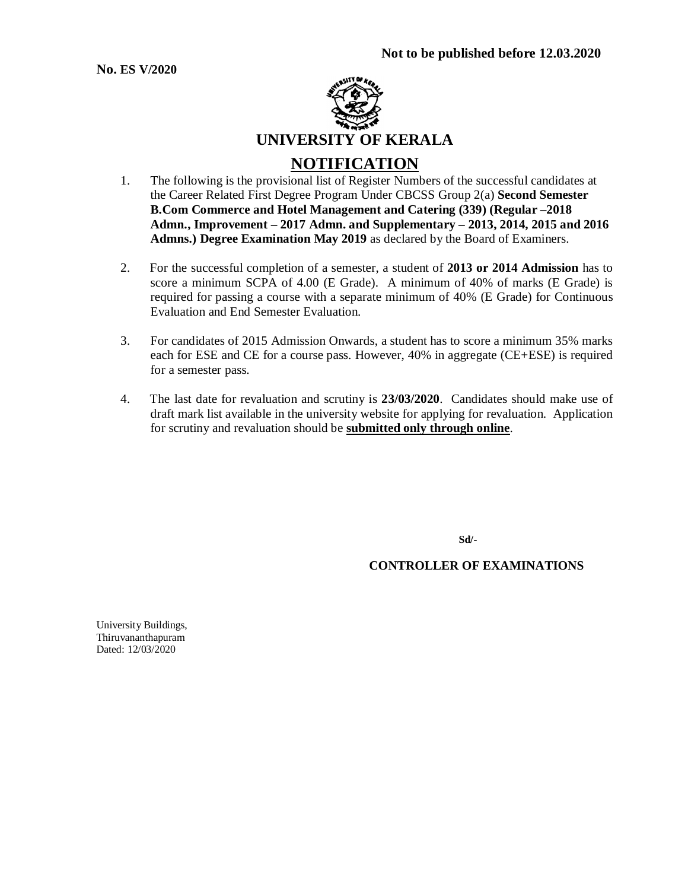

- 1. The following is the provisional list of Register Numbers of the successful candidates at the Career Related First Degree Program Under CBCSS Group 2(a) **Second Semester B.Com Commerce and Hotel Management and Catering (339) (Regular –2018 Admn., Improvement – 2017 Admn. and Supplementary – 2013, 2014, 2015 and 2016 Admns.) Degree Examination May 2019** as declared by the Board of Examiners.
- 2. For the successful completion of a semester, a student of **2013 or 2014 Admission** has to score a minimum SCPA of 4.00 (E Grade). A minimum of 40% of marks (E Grade) is required for passing a course with a separate minimum of 40% (E Grade) for Continuous Evaluation and End Semester Evaluation.
- 3. For candidates of 2015 Admission Onwards, a student has to score a minimum 35% marks each for ESE and CE for a course pass. However, 40% in aggregate (CE+ESE) is required for a semester pass.
- 4. The last date for revaluation and scrutiny is **23/03/2020**. Candidates should make use of draft mark list available in the university website for applying for revaluation. Application for scrutiny and revaluation should be **submitted only through online**.

**Sd/-**

## **CONTROLLER OF EXAMINATIONS**

University Buildings, Thiruvananthapuram Dated: 12/03/2020